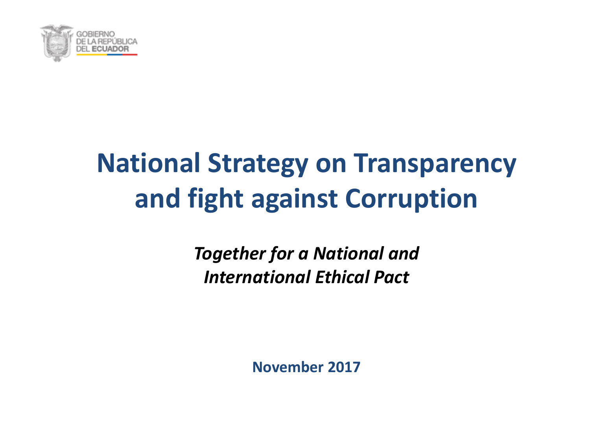

## **National Strategy on Transparency and fight against Corruption**

*Together for a National and International Ethical Pact*

**November 2017**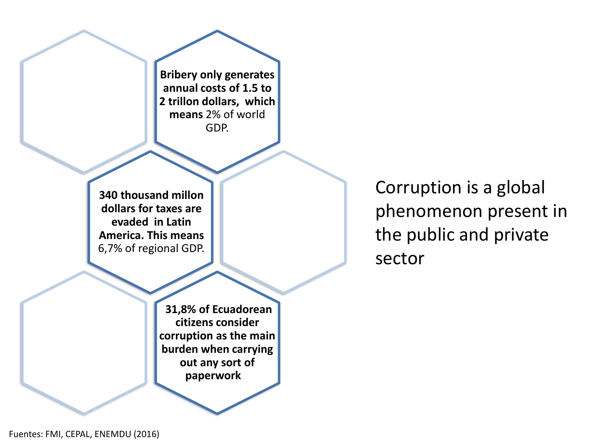**Bribery only generates annual costs of 1.5 to 2 trillon dollars, which means** 2% of world GDP.

**340 thousand millon dollars for taxes are evaded in Latin America. This means** 6,7% of regional GDP.

Corruption is a global phenomenon present in the public and private sector

**31,8% of Ecuadorean citizens consider corruption as the main burden when carrying out any sort of paperwork**

Fuentes: FMI, CEPAL, ENEMDU (2016)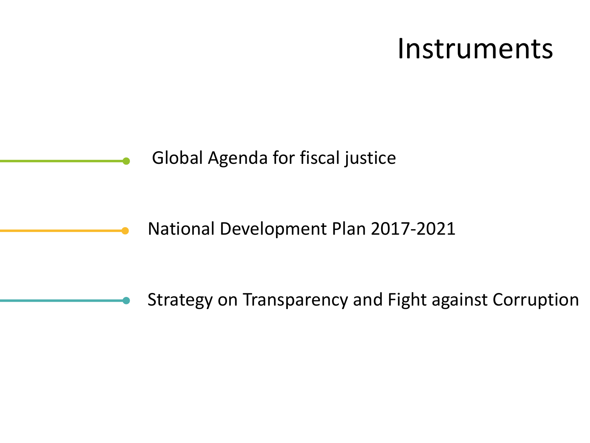### Instruments

Global Agenda for fiscal justice

National Development Plan 2017-2021

Strategy on Transparency and Fight against Corruption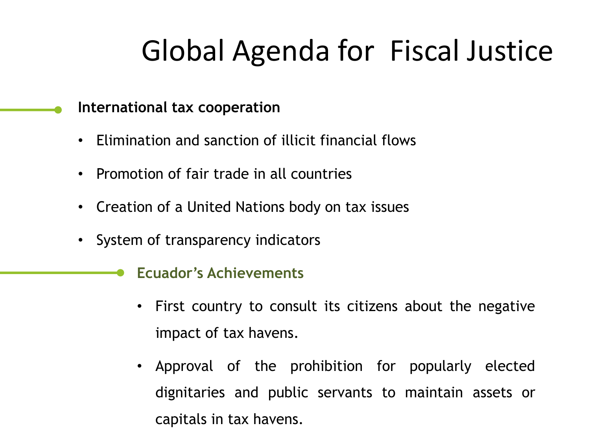# Global Agenda for Fiscal Justice

#### **International tax cooperation**

- Elimination and sanction of illicit financial flows
- Promotion of fair trade in all countries
- Creation of a United Nations body on tax issues
- System of transparency indicators

#### **Ecuador's Achievements**

- First country to consult its citizens about the negative impact of tax havens.
- Approval of the prohibition for popularly elected dignitaries and public servants to maintain assets or capitals in tax havens.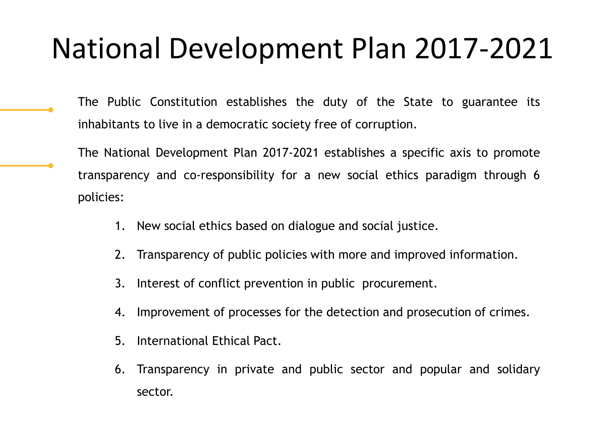### National Development Plan 2017-2021

- The Public Constitution establishes the duty of the State to guarantee its inhabitants to live in a democratic society free of corruption.
- The National Development Plan 2017-2021 establishes a specific axis to promote transparency and co-responsibility for a new social ethics paradigm through 6 policies:
	- 1. New social ethics based on dialogue and social justice.
	- 2. Transparency of public policies with more and improved information.
	- 3. Interest of conflict prevention in public procurement.
	- 4. Improvement of processes for the detection and prosecution of crimes.
	- 5. International Ethical Pact.
	- 6. Transparency in private and public sector and popular and solidary sector.